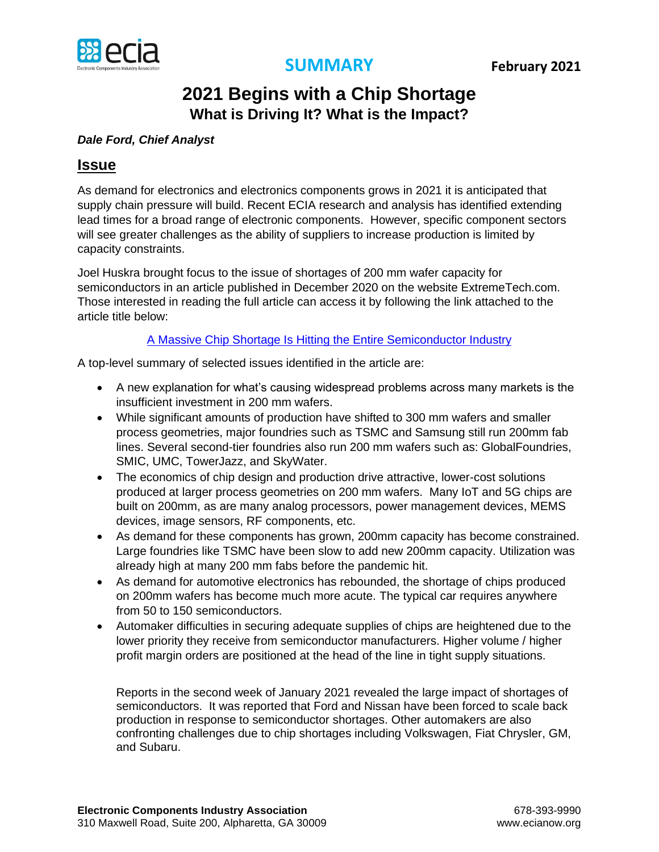



# **2021 Begins with a Chip Shortage What is Driving It? What is the Impact?**

## *Dale Ford, Chief Analyst*

# **Issue**

As demand for electronics and electronics components grows in 2021 it is anticipated that supply chain pressure will build. Recent ECIA research and analysis has identified extending lead times for a broad range of electronic components. However, specific component sectors will see greater challenges as the ability of suppliers to increase production is limited by capacity constraints.

Joel Huskra brought focus to the issue of shortages of 200 mm wafer capacity for semiconductors in an article published in December 2020 on the website ExtremeTech.com. Those interested in reading the full article can access it by following the link attached to the article title below:

### [A Massive Chip Shortage Is Hitting the Entire Semiconductor Industry](https://www.extremetech.com/computing/318554-a-massive-chip-shortage-is-hitting-the-entire-semiconductor-industry#disqus_thread)

A top-level summary of selected issues identified in the article are:

- A new explanation for what's causing widespread problems across many markets is the insufficient investment in 200 mm wafers.
- While significant amounts of production have shifted to 300 mm wafers and smaller process geometries, major foundries such as TSMC and Samsung still run 200mm fab lines. Several second-tier foundries also run 200 mm wafers such as: GlobalFoundries, SMIC, UMC, TowerJazz, and SkyWater.
- The economics of chip design and production drive attractive, lower-cost solutions produced at larger process geometries on 200 mm wafers. Many IoT and 5G chips are built on 200mm, as are many analog processors, power management devices, MEMS devices, image sensors, RF components, etc.
- As demand for these components has grown, 200mm capacity has become constrained. Large foundries like TSMC have been slow to add new 200mm capacity. Utilization was already high at many 200 mm fabs before the pandemic hit.
- As demand for automotive electronics has rebounded, the shortage of chips produced on 200mm wafers has become much more acute. The typical car requires anywhere from 50 to 150 semiconductors.
- Automaker difficulties in securing adequate supplies of chips are heightened due to the lower priority they receive from semiconductor manufacturers. Higher volume / higher profit margin orders are positioned at the head of the line in tight supply situations.

Reports in the second week of January 2021 revealed the large impact of shortages of semiconductors. It was reported that Ford and Nissan have been forced to scale back production in response to semiconductor shortages. Other automakers are also confronting challenges due to chip shortages including Volkswagen, Fiat Chrysler, GM, and Subaru.